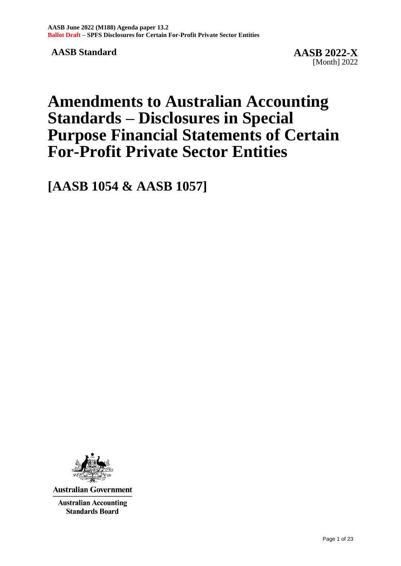**AASB Standard AASB 2022-X**

# **Amendments to Australian Accounting Standards – Disclosures in Special Purpose Financial Statements of Certain For-Profit Private Sector Entities**

**[AASB 1054 & AASB 1057]**



**Australian Government** 

**Australian Accounting Standards Board**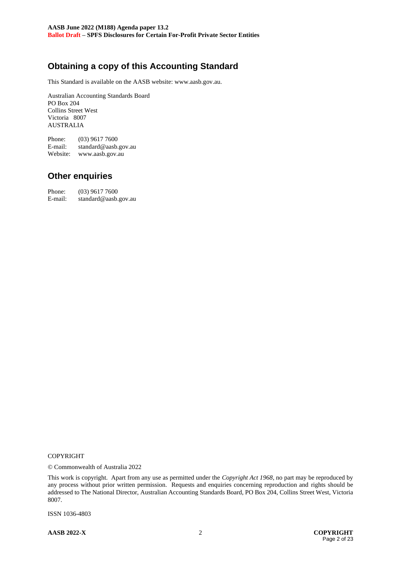# **Obtaining a copy of this Accounting Standard**

This Standard is available on the AASB website: www.aasb.gov.au.

Australian Accounting Standards Board PO Box 204 Collins Street West Victoria 8007 AUSTRALIA

Phone: (03) 9617 7600 E-mail: standard@aasb.gov.au Website: www.aasb.gov.au

# **Other enquiries**

Phone:  $(03)$  9617 7600<br>E-mail: standard@aasb. standard@aasb.gov.au

#### COPYRIGHT

© Commonwealth of Australia 2022

This work is copyright. Apart from any use as permitted under the *Copyright Act 1968*, no part may be reproduced by any process without prior written permission. Requests and enquiries concerning reproduction and rights should be addressed to The National Director, Australian Accounting Standards Board, PO Box 204, Collins Street West, Victoria 8007.

ISSN 1036-4803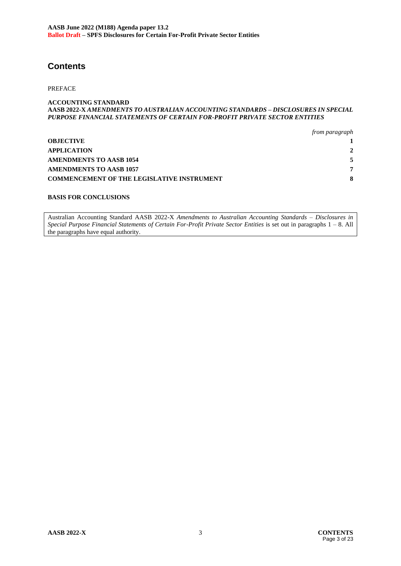# **Contents**

PREFACE

#### **ACCOUNTING STANDARD AASB 2022-X** *AMENDMENTS TO AUSTRALIAN ACCOUNTING STANDARDS – DISCLOSURES IN SPECIAL PURPOSE FINANCIAL STATEMENTS OF CERTAIN FOR-PROFIT PRIVATE SECTOR ENTITIES*

|                                                   | from paragraph |
|---------------------------------------------------|----------------|
| <b>OBJECTIVE</b>                                  |                |
| <b>APPLICATION</b>                                |                |
| <b>AMENDMENTS TO AASB 1054</b>                    |                |
| <b>AMENDMENTS TO AASB 1057</b>                    | ┯              |
| <b>COMMENCEMENT OF THE LEGISLATIVE INSTRUMENT</b> |                |

#### **BASIS FOR CONCLUSIONS**

Australian Accounting Standard AASB 2022-X *Amendments to Australian Accounting Standards – Disclosures in Special Purpose Financial Statements of Certain For-Profit Private Sector Entities* is set out in paragraphs 1 – 8. All the paragraphs have equal authority.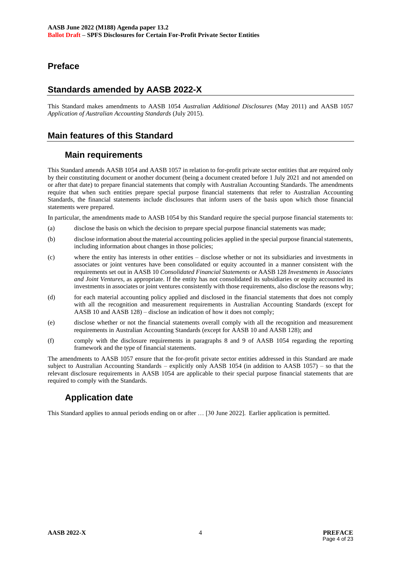# **Preface**

# **Standards amended by AASB 2022-X**

This Standard makes amendments to AASB 1054 *Australian Additional Disclosures* (May 2011) and AASB 1057 *Application of Australian Accounting Standards* (July 2015).

# **Main features of this Standard**

# **Main requirements**

This Standard amends AASB 1054 and AASB 1057 in relation to for-profit private sector entities that are required only by their constituting document or another document (being a document created before 1 July 2021 and not amended on or after that date) to prepare financial statements that comply with Australian Accounting Standards. The amendments require that when such entities prepare special purpose financial statements that refer to Australian Accounting Standards, the financial statements include disclosures that inform users of the basis upon which those financial statements were prepared.

In particular, the amendments made to AASB 1054 by this Standard require the special purpose financial statements to:

- (a) disclose the basis on which the decision to prepare special purpose financial statements was made;
- (b) disclose information about the material accounting policies applied in the special purpose financial statements, including information about changes in those policies;
- (c) where the entity has interests in other entities disclose whether or not its subsidiaries and investments in associates or joint ventures have been consolidated or equity accounted in a manner consistent with the requirements set out in AASB 10 *Consolidated Financial Statements* or AASB 128 *Investments in Associates and Joint Ventures*, as appropriate. If the entity has not consolidated its subsidiaries or equity accounted its investments in associates or joint ventures consistently with those requirements, also disclose the reasons why;
- (d) for each material accounting policy applied and disclosed in the financial statements that does not comply with all the recognition and measurement requirements in Australian Accounting Standards (except for AASB 10 and AASB 128) – disclose an indication of how it does not comply;
- (e) disclose whether or not the financial statements overall comply with all the recognition and measurement requirements in Australian Accounting Standards (except for AASB 10 and AASB 128); and
- (f) comply with the disclosure requirements in paragraphs 8 and 9 of AASB 1054 regarding the reporting framework and the type of financial statements.

The amendments to AASB 1057 ensure that the for-profit private sector entities addressed in this Standard are made subject to Australian Accounting Standards – explicitly only AASB 1054 (in addition to AASB 1057) – so that the relevant disclosure requirements in AASB 1054 are applicable to their special purpose financial statements that are required to comply with the Standards.

# **Application date**

This Standard applies to annual periods ending on or after … [30 June 2022]. Earlier application is permitted.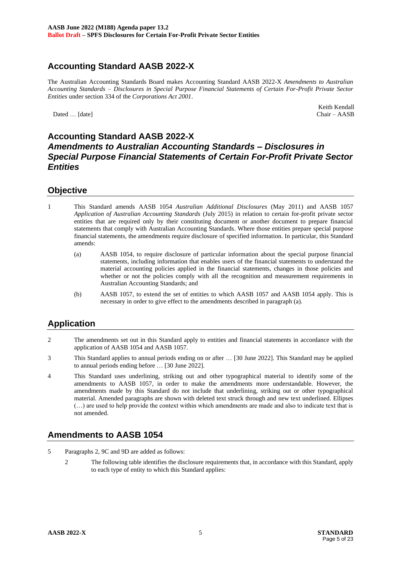# **Accounting Standard AASB 2022-X**

The Australian Accounting Standards Board makes Accounting Standard AASB 2022-X *Amendments to Australian Accounting Standards – Disclosures in Special Purpose Financial Statements of Certain For-Profit Private Sector Entities* under section 334 of the *Corporations Act 2001*.

Dated ... [date]

Keith Kendall<br>Chair - AASB

# **Accounting Standard AASB 2022-X** *Amendments to Australian Accounting Standards – Disclosures in Special Purpose Financial Statements of Certain For-Profit Private Sector Entities*

#### **Objective**

- 1 This Standard amends AASB 1054 *Australian Additional Disclosures* (May 2011) and AASB 1057 *Application of Australian Accounting Standards* (July 2015) in relation to certain for-profit private sector entities that are required only by their constituting document or another document to prepare financial statements that comply with Australian Accounting Standards. Where those entities prepare special purpose financial statements, the amendments require disclosure of specified information. In particular, this Standard amends:
	- (a) AASB 1054, to require disclosure of particular information about the special purpose financial statements, including information that enables users of the financial statements to understand the material accounting policies applied in the financial statements, changes in those policies and whether or not the policies comply with all the recognition and measurement requirements in Australian Accounting Standards; and
	- (b) AASB 1057, to extend the set of entities to which AASB 1057 and AASB 1054 apply. This is necessary in order to give effect to the amendments described in paragraph (a).

# **Application**

- 2 The amendments set out in this Standard apply to entities and financial statements in accordance with the application of AASB 1054 and AASB 1057.
- 3 This Standard applies to annual periods ending on or after … [30 June 2022]. This Standard may be applied to annual periods ending before … [30 June 2022].
- 4 This Standard uses underlining, striking out and other typographical material to identify some of the amendments to AASB 1057, in order to make the amendments more understandable. However, the amendments made by this Standard do not include that underlining, striking out or other typographical material. Amended paragraphs are shown with deleted text struck through and new text underlined. Ellipses (…) are used to help provide the context within which amendments are made and also to indicate text that is not amended.

# **Amendments to AASB 1054**

- 5 Paragraphs 2, 9C and 9D are added as follows:
	- 2 The following table identifies the disclosure requirements that, in accordance with this Standard, apply to each type of entity to which this Standard applies: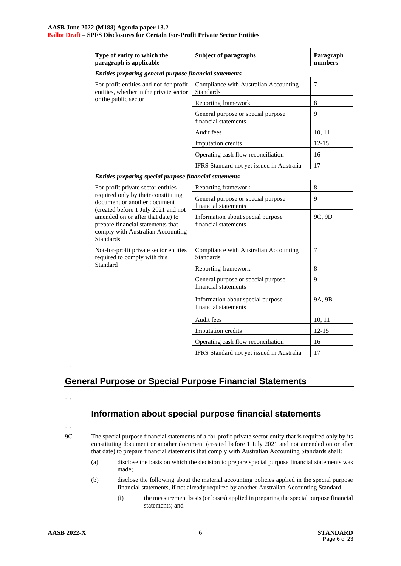#### **AASB June 2022 (M188) Agenda paper 13.2 Ballot Draft – SPFS Disclosures for Certain For-Profit Private Sector Entities**

| Type of entity to which the<br>paragraph is applicable                                                                                                                                                                                        | <b>Subject of paragraphs</b>                               | Paragraph<br>numbers |
|-----------------------------------------------------------------------------------------------------------------------------------------------------------------------------------------------------------------------------------------------|------------------------------------------------------------|----------------------|
| Entities preparing general purpose financial statements                                                                                                                                                                                       |                                                            |                      |
| For-profit entities and not-for-profit<br>entities, whether in the private sector                                                                                                                                                             | Compliance with Australian Accounting<br><b>Standards</b>  | $\overline{7}$       |
| or the public sector                                                                                                                                                                                                                          | Reporting framework                                        | $\,8\,$              |
|                                                                                                                                                                                                                                               | General purpose or special purpose<br>financial statements | 9                    |
|                                                                                                                                                                                                                                               | Audit fees                                                 | 10, 11               |
|                                                                                                                                                                                                                                               | Imputation credits                                         | $12 - 15$            |
|                                                                                                                                                                                                                                               | Operating cash flow reconciliation                         | 16                   |
|                                                                                                                                                                                                                                               | IFRS Standard not yet issued in Australia                  | 17                   |
| Entities preparing special purpose financial statements                                                                                                                                                                                       |                                                            |                      |
| For-profit private sector entities                                                                                                                                                                                                            | Reporting framework                                        | 8                    |
| required only by their constituting<br>document or another document<br>(created before 1 July 2021 and not<br>amended on or after that date) to<br>prepare financial statements that<br>comply with Australian Accounting<br><b>Standards</b> | General purpose or special purpose<br>financial statements | 9                    |
|                                                                                                                                                                                                                                               | Information about special purpose<br>financial statements  | 9C, 9D               |
| Not-for-profit private sector entities<br>required to comply with this                                                                                                                                                                        | Compliance with Australian Accounting<br><b>Standards</b>  | $\tau$               |
| Standard                                                                                                                                                                                                                                      | Reporting framework                                        | 8                    |
|                                                                                                                                                                                                                                               | General purpose or special purpose<br>financial statements | 9                    |
|                                                                                                                                                                                                                                               | Information about special purpose<br>financial statements  | 9A, 9B               |
|                                                                                                                                                                                                                                               | Audit fees                                                 | 10, 11               |
|                                                                                                                                                                                                                                               | Imputation credits                                         | $12 - 15$            |
|                                                                                                                                                                                                                                               | Operating cash flow reconciliation                         | 16                   |
|                                                                                                                                                                                                                                               | IFRS Standard not yet issued in Australia                  | 17                   |

…

# **General Purpose or Special Purpose Financial Statements**

…

# **Information about special purpose financial statements**

…

9C The special purpose financial statements of a for-profit private sector entity that is required only by its constituting document or another document (created before 1 July 2021 and not amended on or after that date) to prepare financial statements that comply with Australian Accounting Standards shall:

- (a) disclose the basis on which the decision to prepare special purpose financial statements was made;
- (b) disclose the following about the material accounting policies applied in the special purpose financial statements, if not already required by another Australian Accounting Standard:
	- (i) the measurement basis (or bases) applied in preparing the special purpose financial statements; and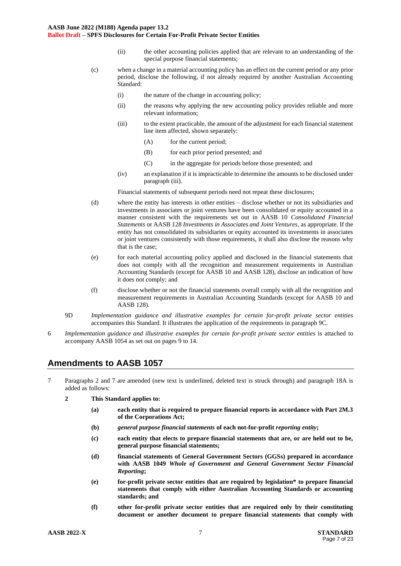- (ii) the other accounting policies applied that are relevant to an understanding of the special purpose financial statements;
- (c) when a change in a material accounting policy has an effect on the current period or any prior period, disclose the following, if not already required by another Australian Accounting Standard:
	- (i) the nature of the change in accounting policy;
	- (ii) the reasons why applying the new accounting policy provides reliable and more relevant information;
	- (iii) to the extent practicable, the amount of the adjustment for each financial statement line item affected, shown separately:
		- (A) for the current period;
		- (B) for each prior period presented; and
		- (C) in the aggregate for periods before those presented; and
	- (iv) an explanation if it is impracticable to determine the amounts to be disclosed under paragraph (iii).

Financial statements of subsequent periods need not repeat these disclosures;

- (d) where the entity has interests in other entities disclose whether or not its subsidiaries and investments in associates or joint ventures have been consolidated or equity accounted in a manner consistent with the requirements set out in AASB 10 *Consolidated Financial Statements* or AASB 128 *Investments in Associates and Joint Ventures*, as appropriate. If the entity has not consolidated its subsidiaries or equity accounted its investments in associates or joint ventures consistently with those requirements, it shall also disclose the reasons why that is the case;
- (e) for each material accounting policy applied and disclosed in the financial statements that does not comply with all the recognition and measurement requirements in Australian Accounting Standards (except for AASB 10 and AASB 128), disclose an indication of how it does not comply; and
- (f) disclose whether or not the financial statements overall comply with all the recognition and measurement requirements in Australian Accounting Standards (except for AASB 10 and AASB 128).
- 9D *Implementation guidance and illustrative examples for certain for-profit private sector entities* accompanies this Standard. It illustrates the application of the requirements in paragraph 9C.
- 6 *Implementation guidance and illustrative examples for certain for-profit private sector entities* is attached to accompany AASB 1054 as set out on pages 9 to 14.

# **Amendments to AASB 1057**

- 7 Paragraphs 2 and 7 are amended (new text is underlined, deleted text is struck through) and paragraph 18A is added as follows:
	- **2 This Standard applies to:** 
		- **(a) each entity that is required to prepare financial reports in accordance with Part 2M.3 of the Corporations Act;**
		- **(b)** *general purpose financial statements* **of each not-for-profit** *reporting entity***;**
		- **(c) each entity that elects to prepare financial statements that are, or are held out to be, general purpose financial statements;**
		- **(d) financial statements of General Government Sectors (GGSs) prepared in accordance with AASB 1049** *Whole of Government and General Government Sector Financial Reporting***;**
		- **(e) for-profit private sector entities that are required by legislation\* to prepare financial statements that comply with either Australian Accounting Standards or accounting standards; and**
		- **(f) other for-profit private sector entities that are required only by their constituting document or another document to prepare financial statements that comply with**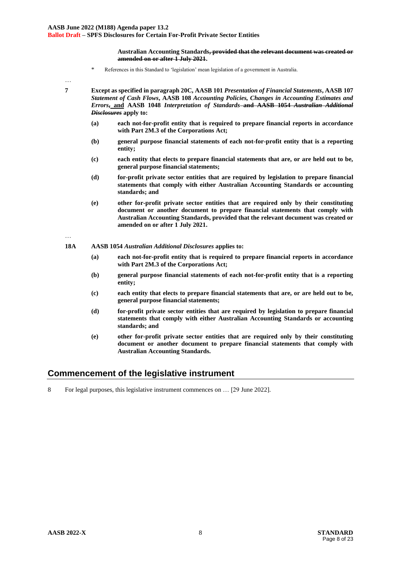**Australian Accounting Standards, provided that the relevant document was created or amended on or after 1 July 2021.** 

\* References in this Standard to 'legislation' mean legislation of a government in Australia.

…

**7 Except as specified in paragraph 20C, AASB 101** *Presentation of Financial Statements***, AASB 107**  *Statement of Cash Flows***, AASB 108** *Accounting Policies, Changes in Accounting Estimates and Errors***, and AASB 1048** *Interpretation of Standards* **and AASB 1054** *Australian Additional Disclosures* **apply to:** 

- **(a) each not-for-profit entity that is required to prepare financial reports in accordance with Part 2M.3 of the Corporations Act;**
- **(b) general purpose financial statements of each not-for-profit entity that is a reporting entity;**
- **(c) each entity that elects to prepare financial statements that are, or are held out to be, general purpose financial statements;**
- **(d) for-profit private sector entities that are required by legislation to prepare financial statements that comply with either Australian Accounting Standards or accounting standards; and**
- **(e) other for-profit private sector entities that are required only by their constituting document or another document to prepare financial statements that comply with Australian Accounting Standards, provided that the relevant document was created or amended on or after 1 July 2021.**

…

- **18A AASB 1054** *Australian Additional Disclosures* **applies to:**
	- **(a) each not-for-profit entity that is required to prepare financial reports in accordance with Part 2M.3 of the Corporations Act;**
	- **(b) general purpose financial statements of each not-for-profit entity that is a reporting entity;**
	- **(c) each entity that elects to prepare financial statements that are, or are held out to be, general purpose financial statements;**
	- **(d) for-profit private sector entities that are required by legislation to prepare financial statements that comply with either Australian Accounting Standards or accounting standards; and**
	- **(e) other for-profit private sector entities that are required only by their constituting document or another document to prepare financial statements that comply with Australian Accounting Standards.**

# **Commencement of the legislative instrument**

8 For legal purposes, this legislative instrument commences on … [29 June 2022].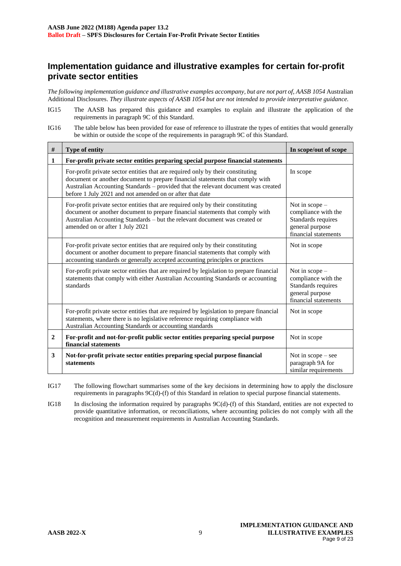# **Implementation guidance and illustrative examples for certain for-profit private sector entities**

*The following implementation guidance and illustrative examples accompany, but are not part of, AASB 1054* Australian Additional Disclosures. *They illustrate aspects of AASB 1054 but are not intended to provide interpretative guidance.*

- IG15 The AASB has prepared this guidance and examples to explain and illustrate the application of the requirements in paragraph 9C of this Standard.
- IG16 The table below has been provided for ease of reference to illustrate the types of entities that would generally be within or outside the scope of the requirements in paragraph 9C of this Standard.

| $\#$           | Type of entity                                                                                                                                                                                                                                                                                                    | In scope/out of scope                                                                                   |  |
|----------------|-------------------------------------------------------------------------------------------------------------------------------------------------------------------------------------------------------------------------------------------------------------------------------------------------------------------|---------------------------------------------------------------------------------------------------------|--|
| 1              | For-profit private sector entities preparing special purpose financial statements                                                                                                                                                                                                                                 |                                                                                                         |  |
|                | For-profit private sector entities that are required only by their constituting<br>document or another document to prepare financial statements that comply with<br>Australian Accounting Standards - provided that the relevant document was created<br>before 1 July 2021 and not amended on or after that date | In scope                                                                                                |  |
|                | For-profit private sector entities that are required only by their constituting<br>document or another document to prepare financial statements that comply with<br>Australian Accounting Standards - but the relevant document was created or<br>amended on or after 1 July 2021                                 | Not in scope -<br>compliance with the<br>Standards requires<br>general purpose<br>financial statements  |  |
|                | For-profit private sector entities that are required only by their constituting<br>document or another document to prepare financial statements that comply with<br>accounting standards or generally accepted accounting principles or practices                                                                 | Not in scope                                                                                            |  |
|                | For-profit private sector entities that are required by legislation to prepare financial<br>statements that comply with either Australian Accounting Standards or accounting<br>standards                                                                                                                         | Not in $scope-$<br>compliance with the<br>Standards requires<br>general purpose<br>financial statements |  |
|                | For-profit private sector entities that are required by legislation to prepare financial<br>statements, where there is no legislative reference requiring compliance with<br>Australian Accounting Standards or accounting standards                                                                              | Not in scope                                                                                            |  |
| $\overline{2}$ | For-profit and not-for-profit public sector entities preparing special purpose<br>financial statements                                                                                                                                                                                                            | Not in scope                                                                                            |  |
| 3              | Not-for-profit private sector entities preparing special purpose financial<br><b>statements</b>                                                                                                                                                                                                                   | Not in $scope - see$<br>paragraph 9A for<br>similar requirements                                        |  |

IG17 The following flowchart summarises some of the key decisions in determining how to apply the disclosure requirements in paragraphs 9C(d)-(f) of this Standard in relation to special purpose financial statements.

IG18 In disclosing the information required by paragraphs 9C(d)-(f) of this Standard, entities are not expected to provide quantitative information, or reconciliations, where accounting policies do not comply with all the recognition and measurement requirements in Australian Accounting Standards.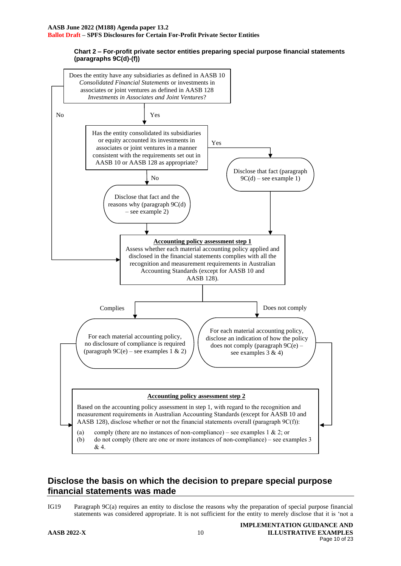#### **Chart 2 – For-profit private sector entities preparing special purpose financial statements (paragraphs 9C(d)-(f))**



# **Disclose the basis on which the decision to prepare special purpose financial statements was made**

IG19 Paragraph 9C(a) requires an entity to disclose the reasons why the preparation of special purpose financial statements was considered appropriate. It is not sufficient for the entity to merely disclose that it is 'not a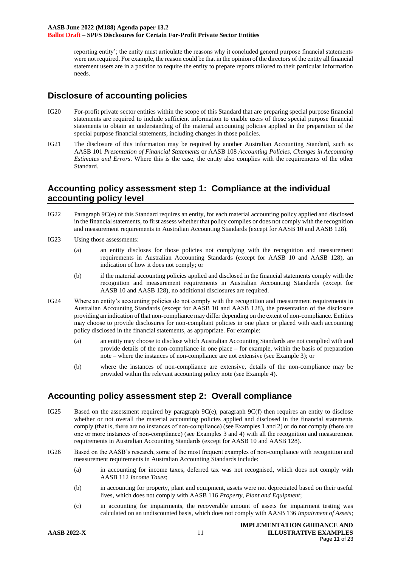reporting entity'; the entity must articulate the reasons why it concluded general purpose financial statements were not required. For example, the reason could be that in the opinion of the directors of the entity all financial statement users are in a position to require the entity to prepare reports tailored to their particular information needs.

#### **Disclosure of accounting policies**

- IG20 For-profit private sector entities within the scope of this Standard that are preparing special purpose financial statements are required to include sufficient information to enable users of those special purpose financial statements to obtain an understanding of the material accounting policies applied in the preparation of the special purpose financial statements, including changes in those policies.
- IG21 The disclosure of this information may be required by another Australian Accounting Standard, such as AASB 101 *Presentation of Financial Statements* or AASB 108 *Accounting Policies, Changes in Accounting Estimates and Errors*. Where this is the case, the entity also complies with the requirements of the other Standard.

#### **Accounting policy assessment step 1: Compliance at the individual accounting policy level**

- IG22 Paragraph 9C(e) of this Standard requires an entity, for each material accounting policy applied and disclosed in the financial statements, to first assess whether that policy complies or does not comply with the recognition and measurement requirements in Australian Accounting Standards (except for AASB 10 and AASB 128).
- IG23 Using those assessments:
	- (a) an entity discloses for those policies not complying with the recognition and measurement requirements in Australian Accounting Standards (except for AASB 10 and AASB 128), an indication of how it does not comply; or
	- (b) if the material accounting policies applied and disclosed in the financial statements comply with the recognition and measurement requirements in Australian Accounting Standards (except for AASB 10 and AASB 128), no additional disclosures are required.
- IG24 Where an entity's accounting policies do not comply with the recognition and measurement requirements in Australian Accounting Standards (except for AASB 10 and AASB 128), the presentation of the disclosure providing an indication of that non-compliance may differ depending on the extent of non-compliance. Entities may choose to provide disclosures for non-compliant policies in one place or placed with each accounting policy disclosed in the financial statements, as appropriate. For example:
	- (a) an entity may choose to disclose which Australian Accounting Standards are not complied with and provide details of the non-compliance in one place – for example, within the basis of preparation note – where the instances of non-compliance are not extensive (see Example 3); or
	- (b) where the instances of non-compliance are extensive, details of the non-compliance may be provided within the relevant accounting policy note (see Example 4).

# **Accounting policy assessment step 2: Overall compliance**

- IG25 Based on the assessment required by paragraph 9C(e), paragraph 9C(f) then requires an entity to disclose whether or not overall the material accounting policies applied and disclosed in the financial statements comply (that is, there are no instances of non-compliance) (see Examples 1 and 2) or do not comply (there are one or more instances of non-compliance) (see Examples 3 and 4) with all the recognition and measurement requirements in Australian Accounting Standards (except for AASB 10 and AASB 128).
- IG26 Based on the AASB's research, some of the most frequent examples of non-compliance with recognition and measurement requirements in Australian Accounting Standards include:
	- (a) in accounting for income taxes, deferred tax was not recognised, which does not comply with AASB 112 *Income Taxes*;
	- (b) in accounting for property, plant and equipment, assets were not depreciated based on their useful lives, which does not comply with AASB 116 *Property, Plant and Equipment*;
	- (c) in accounting for impairments, the recoverable amount of assets for impairment testing was calculated on an undiscounted basis, which does not comply with AASB 136 *Impairment of Assets*;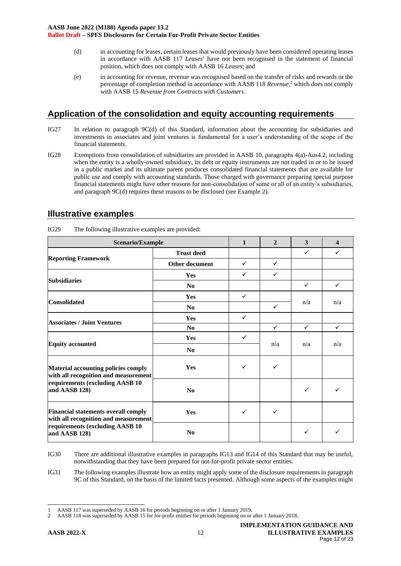- (d) in accounting for leases, certain leases that would previously have been considered operating leases in accordance with AASB 117 *Leases*<sup>1</sup> have not been recognised in the statement of financial position, which does not comply with AASB 16 *Leases*; and
- (e) in accounting for revenue, revenue was recognised based on the transfer of risks and rewards or the percentage of completion method in accordance with AASB 118 *Revenue*, <sup>2</sup> which does not comply with AASB 15 *Revenue from Contracts with Customers*.

# **Application of the consolidation and equity accounting requirements**

- IG27 In relation to paragraph 9C(d) of this Standard, information about the accounting for subsidiaries and investments in associates and joint ventures is fundamental for a user's understanding of the scope of the financial statements.
- IG28 Exemptions from consolidation of subsidiaries are provided in AASB 10, paragraphs 4(a)-Aus4.2, including when the entity is a wholly-owned subsidiary, its debt or equity instruments are not traded in or to be issued in a public market and its ultimate parent produces consolidated financial statements that are available for public use and comply with accounting standards. Those charged with governance preparing special purpose financial statements might have other reasons for non-consolidation of some or all of an entity's subsidiaries, and paragraph 9C(d) requires these reasons to be disclosed (see Example 2).

| Scenario/Example                                                                   |                       | $\mathbf{1}$ | $\overline{2}$ | 3            | $\boldsymbol{\Delta}$ |
|------------------------------------------------------------------------------------|-----------------------|--------------|----------------|--------------|-----------------------|
|                                                                                    | <b>Trust deed</b>     |              |                | $\checkmark$ | $\checkmark$          |
| <b>Reporting Framework</b>                                                         | <b>Other document</b> | $\checkmark$ | $\checkmark$   |              |                       |
| <b>Subsidiaries</b>                                                                | Yes                   | ✓            | $\checkmark$   |              |                       |
|                                                                                    | No                    |              |                | $\checkmark$ | $\checkmark$          |
| <b>Consolidated</b>                                                                | Yes                   | $\checkmark$ |                | n/a          | n/a                   |
|                                                                                    | No                    |              | $\checkmark$   |              |                       |
| <b>Associates / Joint Ventures</b>                                                 | Yes                   | $\checkmark$ |                |              |                       |
|                                                                                    | N <sub>0</sub>        |              | $\checkmark$   | $\checkmark$ | $\checkmark$          |
| <b>Equity accounted</b>                                                            | Yes                   | $\checkmark$ |                | n/a          | n/a                   |
|                                                                                    | No                    |              | n/a            |              |                       |
| Material accounting policies comply<br>with all recognition and measurement        | <b>Yes</b>            | ✓            | $\checkmark$   |              |                       |
| requirements (excluding AASB 10<br>and AASB 128)                                   | No                    |              |                | ✓            | ✓                     |
| <b>Financial statements overall comply</b><br>with all recognition and measurement | <b>Yes</b>            | ✓            | $\checkmark$   |              |                       |
| requirements (excluding AASB 10<br>and AASB 128)                                   | N <sub>0</sub>        |              |                | $\checkmark$ | ✓                     |

IG29 The following illustrative examples are provided:

IG30 There are additional illustrative examples in paragraphs IG13 and IG14 of this Standard that may be useful, notwithstanding that they have been prepared for not-for-profit private sector entities.

IG31 The following examples illustrate how an entity might apply some of the disclosure requirements in paragraph 9C of this Standard, on the basis of the limited facts presented. Although some aspects of the examples might

<sup>1</sup> AASB 117 was superseded by AASB 16 for periods beginning on or after 1 January 2019.

<sup>2</sup> AASB 118 was superseded by AASB 15 for for-profit entities for periods beginning on or after 1 January 2018.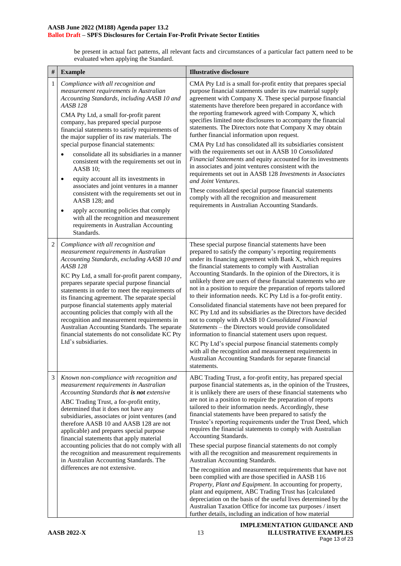be present in actual fact patterns, all relevant facts and circumstances of a particular fact pattern need to be evaluated when applying the Standard.

| #              | <b>Example</b>                                                                                                                                                                                                                                                                                                                                                                                                                                                                                                                                                                                                                                                                                                                                                                                                | <b>Illustrative disclosure</b>                                                                                                                                                                                                                                                                                                                                                                                                                                                                                                                                                                                                                                                                                                                                                                                                                                                                                                                                                                                                                                                                                                                         |
|----------------|---------------------------------------------------------------------------------------------------------------------------------------------------------------------------------------------------------------------------------------------------------------------------------------------------------------------------------------------------------------------------------------------------------------------------------------------------------------------------------------------------------------------------------------------------------------------------------------------------------------------------------------------------------------------------------------------------------------------------------------------------------------------------------------------------------------|--------------------------------------------------------------------------------------------------------------------------------------------------------------------------------------------------------------------------------------------------------------------------------------------------------------------------------------------------------------------------------------------------------------------------------------------------------------------------------------------------------------------------------------------------------------------------------------------------------------------------------------------------------------------------------------------------------------------------------------------------------------------------------------------------------------------------------------------------------------------------------------------------------------------------------------------------------------------------------------------------------------------------------------------------------------------------------------------------------------------------------------------------------|
| $\mathbf{1}$   | Compliance with all recognition and<br>measurement requirements in Australian<br>Accounting Standards, including AASB 10 and<br><b>AASB 128</b><br>CMA Pty Ltd, a small for-profit parent<br>company, has prepared special purpose<br>financial statements to satisfy requirements of<br>the major supplier of its raw materials. The<br>special purpose financial statements:<br>consolidate all its subsidiaries in a manner<br>consistent with the requirements set out in<br>AASB 10;<br>equity account all its investments in<br>$\bullet$<br>associates and joint ventures in a manner<br>consistent with the requirements set out in<br>AASB 128; and<br>apply accounting policies that comply<br>٠<br>with all the recognition and measurement<br>requirements in Australian Accounting<br>Standards. | CMA Pty Ltd is a small for-profit entity that prepares special<br>purpose financial statements under its raw material supply<br>agreement with Company X. These special purpose financial<br>statements have therefore been prepared in accordance with<br>the reporting framework agreed with Company X, which<br>specifies limited note disclosures to accompany the financial<br>statements. The Directors note that Company X may obtain<br>further financial information upon request.<br>CMA Pty Ltd has consolidated all its subsidiaries consistent<br>with the requirements set out in AASB 10 Consolidated<br>Financial Statements and equity accounted for its investments<br>in associates and joint ventures consistent with the<br>requirements set out in AASB 128 Investments in Associates<br>and Joint Ventures.<br>These consolidated special purpose financial statements<br>comply with all the recognition and measurement<br>requirements in Australian Accounting Standards.                                                                                                                                                   |
| $\overline{c}$ | Compliance with all recognition and<br>measurement requirements in Australian<br>Accounting Standards, excluding AASB 10 and<br><b>AASB 128</b><br>KC Pty Ltd, a small for-profit parent company,<br>prepares separate special purpose financial<br>statements in order to meet the requirements of<br>its financing agreement. The separate special<br>purpose financial statements apply material<br>accounting policies that comply with all the<br>recognition and measurement requirements in<br>Australian Accounting Standards. The separate<br>financial statements do not consolidate KC Pty<br>Ltd's subsidiaries.                                                                                                                                                                                  | These special purpose financial statements have been<br>prepared to satisfy the company's reporting requirements<br>under its financing agreement with Bank X, which requires<br>the financial statements to comply with Australian<br>Accounting Standards. In the opinion of the Directors, it is<br>unlikely there are users of these financial statements who are<br>not in a position to require the preparation of reports tailored<br>to their information needs. KC Pty Ltd is a for-profit entity.<br>Consolidated financial statements have not been prepared for<br>KC Pty Ltd and its subsidiaries as the Directors have decided<br>not to comply with AASB 10 Consolidated Financial<br>Statements - the Directors would provide consolidated<br>information to financial statement users upon request.<br>KC Pty Ltd's special purpose financial statements comply<br>with all the recognition and measurement requirements in<br>Australian Accounting Standards for separate financial<br>statements.                                                                                                                                  |
| 3              | Known non-compliance with recognition and<br>measurement requirements in Australian<br>Accounting Standards that is not extensive<br>ABC Trading Trust, a for-profit entity,<br>determined that it does not have any<br>subsidiaries, associates or joint ventures (and<br>therefore AASB 10 and AASB 128 are not<br>applicable) and prepares special purpose<br>financial statements that apply material<br>accounting policies that do not comply with all<br>the recognition and measurement requirements<br>in Australian Accounting Standards. The<br>differences are not extensive.                                                                                                                                                                                                                     | ABC Trading Trust, a for-profit entity, has prepared special<br>purpose financial statements as, in the opinion of the Trustees,<br>it is unlikely there are users of these financial statements who<br>are not in a position to require the preparation of reports<br>tailored to their information needs. Accordingly, these<br>financial statements have been prepared to satisfy the<br>Trustee's reporting requirements under the Trust Deed, which<br>requires the financial statements to comply with Australian<br>Accounting Standards.<br>These special purpose financial statements do not comply<br>with all the recognition and measurement requirements in<br>Australian Accounting Standards.<br>The recognition and measurement requirements that have not<br>been complied with are those specified in AASB 116<br>Property, Plant and Equipment. In accounting for property,<br>plant and equipment, ABC Trading Trust has [calculated<br>depreciation on the basis of the useful lives determined by the<br>Australian Taxation Office for income tax purposes / insert<br>further details, including an indication of how material |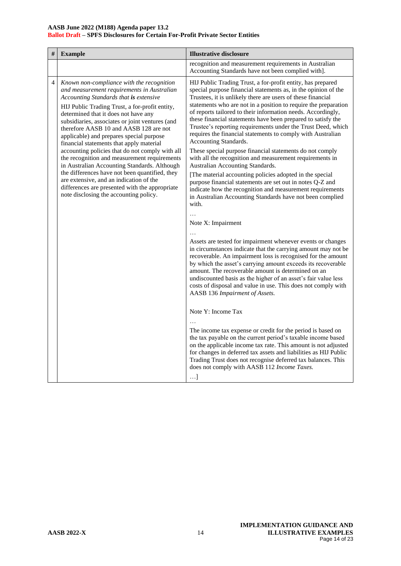| # | <b>Example</b>                                                                                                                                                                                                                                                                                                                                                                                                                                                                                                                                                                                                                                                                                                                                               | <b>Illustrative disclosure</b>                                                                                                                                                                                                                                                                                                                                                                                                                                                                                                                          |
|---|--------------------------------------------------------------------------------------------------------------------------------------------------------------------------------------------------------------------------------------------------------------------------------------------------------------------------------------------------------------------------------------------------------------------------------------------------------------------------------------------------------------------------------------------------------------------------------------------------------------------------------------------------------------------------------------------------------------------------------------------------------------|---------------------------------------------------------------------------------------------------------------------------------------------------------------------------------------------------------------------------------------------------------------------------------------------------------------------------------------------------------------------------------------------------------------------------------------------------------------------------------------------------------------------------------------------------------|
|   |                                                                                                                                                                                                                                                                                                                                                                                                                                                                                                                                                                                                                                                                                                                                                              | recognition and measurement requirements in Australian<br>Accounting Standards have not been complied with].                                                                                                                                                                                                                                                                                                                                                                                                                                            |
| 4 | Known non-compliance with the recognition<br>and measurement requirements in Australian<br>Accounting Standards that is extensive<br>HIJ Public Trading Trust, a for-profit entity,<br>determined that it does not have any<br>subsidiaries, associates or joint ventures (and<br>therefore AASB 10 and AASB 128 are not<br>applicable) and prepares special purpose<br>financial statements that apply material<br>accounting policies that do not comply with all<br>the recognition and measurement requirements<br>in Australian Accounting Standards. Although<br>the differences have not been quantified, they<br>are extensive, and an indication of the<br>differences are presented with the appropriate<br>note disclosing the accounting policy. | HIJ Public Trading Trust, a for-profit entity, has prepared<br>special purpose financial statements as, in the opinion of the<br>Trustees, it is unlikely there are users of these financial<br>statements who are not in a position to require the preparation<br>of reports tailored to their information needs. Accordingly,<br>these financial statements have been prepared to satisfy the<br>Trustee's reporting requirements under the Trust Deed, which<br>requires the financial statements to comply with Australian<br>Accounting Standards. |
|   |                                                                                                                                                                                                                                                                                                                                                                                                                                                                                                                                                                                                                                                                                                                                                              | These special purpose financial statements do not comply<br>with all the recognition and measurement requirements in<br>Australian Accounting Standards.                                                                                                                                                                                                                                                                                                                                                                                                |
|   |                                                                                                                                                                                                                                                                                                                                                                                                                                                                                                                                                                                                                                                                                                                                                              | [The material accounting policies adopted in the special<br>purpose financial statements are set out in notes Q-Z and<br>indicate how the recognition and measurement requirements<br>in Australian Accounting Standards have not been complied<br>with.                                                                                                                                                                                                                                                                                                |
|   |                                                                                                                                                                                                                                                                                                                                                                                                                                                                                                                                                                                                                                                                                                                                                              | $\ddotsc$<br>Note X: Impairment                                                                                                                                                                                                                                                                                                                                                                                                                                                                                                                         |
|   |                                                                                                                                                                                                                                                                                                                                                                                                                                                                                                                                                                                                                                                                                                                                                              | Assets are tested for impairment whenever events or changes<br>in circumstances indicate that the carrying amount may not be<br>recoverable. An impairment loss is recognised for the amount<br>by which the asset's carrying amount exceeds its recoverable<br>amount. The recoverable amount is determined on an<br>undiscounted basis as the higher of an asset's fair value less<br>costs of disposal and value in use. This does not comply with<br>AASB 136 Impairment of Assets.                                                                 |
|   |                                                                                                                                                                                                                                                                                                                                                                                                                                                                                                                                                                                                                                                                                                                                                              | Note Y: Income Tax                                                                                                                                                                                                                                                                                                                                                                                                                                                                                                                                      |
|   |                                                                                                                                                                                                                                                                                                                                                                                                                                                                                                                                                                                                                                                                                                                                                              | The income tax expense or credit for the period is based on<br>the tax payable on the current period's taxable income based<br>on the applicable income tax rate. This amount is not adjusted<br>for changes in deferred tax assets and liabilities as HIJ Public<br>Trading Trust does not recognise deferred tax balances. This<br>does not comply with AASB 112 Income Taxes.<br>$\ldots$ ]                                                                                                                                                          |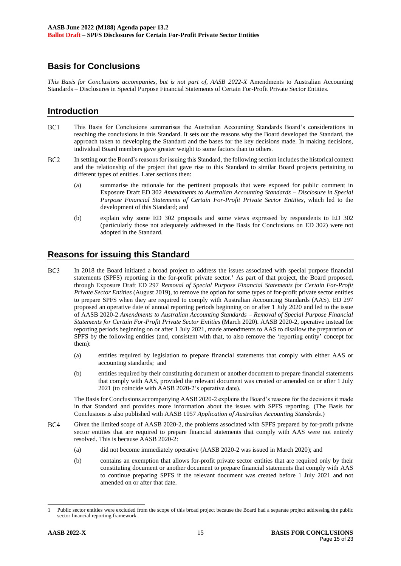# **Basis for Conclusions**

*This Basis for Conclusions accompanies, but is not part of, AASB 2022-X* Amendments to Australian Accounting Standards – Disclosures in Special Purpose Financial Statements of Certain For-Profit Private Sector Entities.

#### **Introduction**

- BC1 This Basis for Conclusions summarises the Australian Accounting Standards Board's considerations in reaching the conclusions in this Standard. It sets out the reasons why the Board developed the Standard, the approach taken to developing the Standard and the bases for the key decisions made. In making decisions, individual Board members gave greater weight to some factors than to others.
- $BC2$ In setting out the Board's reasons for issuing this Standard, the following section includes the historical context and the relationship of the project that gave rise to this Standard to similar Board projects pertaining to different types of entities. Later sections then:
	- (a) summarise the rationale for the pertinent proposals that were exposed for public comment in Exposure Draft ED 302 *Amendments to Australian Accounting Standards – Disclosure in Special Purpose Financial Statements of Certain For-Profit Private Sector Entities*, which led to the development of this Standard; and
	- (b) explain why some ED 302 proposals and some views expressed by respondents to ED 302 (particularly those not adequately addressed in the Basis for Conclusions on ED 302) were not adopted in the Standard.

# **Reasons for issuing this Standard**

- <span id="page-14-0"></span> $BC3$ In 2018 the Board initiated a broad project to address the issues associated with special purpose financial statements (SPFS) reporting in the for-profit private sector.<sup>1</sup> As part of that project, the Board proposed, through Exposure Draft ED 297 *Removal of Special Purpose Financial Statements for Certain For-Profit Private Sector Entities* (August 2019), to remove the option for some types of for-profit private sector entities to prepare SPFS when they are required to comply with Australian Accounting Standards (AAS). ED 297 proposed an operative date of annual reporting periods beginning on or after 1 July 2020 and led to the issue of AASB 2020-2 *Amendments to Australian Accounting Standards – Removal of Special Purpose Financial Statements for Certain For-Profit Private Sector Entities* (March 2020). AASB 2020-2, operative instead for reporting periods beginning on or after 1 July 2021, made amendments to AAS to disallow the preparation of SPFS by the following entities (and, consistent with that, to also remove the 'reporting entity' concept for them):
	- (a) entities required by legislation to prepare financial statements that comply with either AAS or accounting standards; and
	- (b) entities required by their constituting document or another document to prepare financial statements that comply with AAS, provided the relevant document was created or amended on or after 1 July 2021 (to coincide with AASB 2020-2's operative date).

The Basis for Conclusions accompanying AASB 2020-2 explains the Board's reasons for the decisions it made in that Standard and provides more information about the issues with SPFS reporting. (The Basis for Conclusions is also published with AASB 1057 *Application of Australian Accounting Standards*.)

- $BC4$ Given the limited scope of AASB 2020-2, the problems associated with SPFS prepared by for-profit private sector entities that are required to prepare financial statements that comply with AAS were not entirely resolved. This is because AASB 2020-2:
	- (a) did not become immediately operative (AASB 2020-2 was issued in March 2020); and
	- (b) contains an exemption that allows for-profit private sector entities that are required only by their constituting document or another document to prepare financial statements that comply with AAS to continue preparing SPFS if the relevant document was created before 1 July 2021 and not amended on or after that date.

<sup>1</sup> Public sector entities were excluded from the scope of this broad project because the Board had a separate project addressing the public sector financial reporting framework.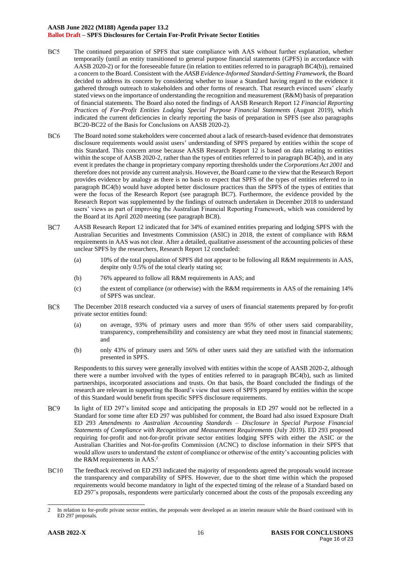#### **AASB June 2022 (M188) Agenda paper 13.2 Ballot Draft – SPFS Disclosures for Certain For-Profit Private Sector Entities**

- $BC5$ The continued preparation of SPFS that state compliance with AAS without further explanation, whether temporarily (until an entity transitioned to general purpose financial statements (GPFS) in accordance with AASB 2020-2) or for the foreseeable future (in relation to entities referred to in paragraph BC4(b)), remained a concern to the Board. Consistent with the *AASB Evidence-Informed Standard-Setting Framework*, the Board decided to address its concern by considering whether to issue a Standard having regard to the evidence it gathered through outreach to stakeholders and other forms of research. That research evinced users' clearly stated views on the importance of understanding the recognition and measurement (R&M) basis of preparation of financial statements. The Board also noted the findings of AASB Research Report 12 *Financial Reporting Practices of For-Profit Entities Lodging Special Purpose Financial Statements* (August 2019), which indicated the current deficiencies in clearly reporting the basis of preparation in SPFS (see also paragraphs BC20-BC22 of the Basis for Conclusions on AASB 2020-2).
- BC<sub>6</sub> The Board noted some stakeholders were concerned about a lack of research-based evidence that demonstrates disclosure requirements would assist users' understanding of SPFS prepared by entities within the scope of this Standard. This concern arose because AASB Research Report 12 is based on data relating to entities within the scope of AASB 2020-2, rather than the types of entities referred to in paragraph BC4(b), and in any event it predates the change in proprietary company reporting thresholds under the *Corporations Act 2001* and therefore does not provide any current analysis. However, the Board came to the view that the Research Report provides evidence by analogy as there is no basis to expect that SPFS of the types of entities referred to in paragraph BC4(b) would have adopted better disclosure practices than the SPFS of the types of entities that were the focus of the Research Report (see paragraph [BC7\)](#page-15-0). Furthermore, the evidence provided by the Research Report was supplemented by the findings of outreach undertaken in December 2018 to understand users' views as part of improving the Australian Financial Reporting Framework, which was considered by the Board at its April 2020 meeting (see paragraph [BC8\)](#page-15-1).
- <span id="page-15-0"></span> $BC7$ AASB Research Report 12 indicated that for 34% of examined entities preparing and lodging SPFS with the Australian Securities and Investments Commission (ASIC) in 2018, the extent of compliance with R&M requirements in AAS was not clear. After a detailed, qualitative assessment of the accounting policies of these unclear SPFS by the researchers, Research Report 12 concluded:
	- (a) 10% of the total population of SPFS did not appear to be following all R&M requirements in AAS, despite only 0.5% of the total clearly stating so;
	- (b) 76% appeared to follow all R&M requirements in AAS; and
	- (c) the extent of compliance (or otherwise) with the R&M requirements in AAS of the remaining 14% of SPFS was unclear.
- <span id="page-15-1"></span>BC<sub>8</sub> The December 2018 research conducted via a survey of users of financial statements prepared by for-profit private sector entities found:
	- (a) on average, 93% of primary users and more than 95% of other users said comparability, transparency, comprehensibility and consistency are what they need most in financial statements; and
	- (b) only 43% of primary users and 56% of other users said they are satisfied with the information presented in SPFS.

Respondents to this survey were generally involved with entities within the scope of AASB 2020-2, although there were a number involved with the types of entities referred to in paragraph BC4(b), such as limited partnerships, incorporated associations and trusts. On that basis, the Board concluded the findings of the research are relevant in supporting the Board's view that users of SPFS prepared by entities within the scope of this Standard would benefit from specific SPFS disclosure requirements.

- BC<sub>9</sub> In light of ED 297's limited scope and anticipating the proposals in ED 297 would not be reflected in a Standard for some time after ED 297 was published for comment, the Board had also issued Exposure Draft ED 293 *Amendments to Australian Accounting Standards – Disclosure in Special Purpose Financial Statements of Compliance with Recognition and Measurement Requirements* (July 2019). ED 293 proposed requiring for-profit and not-for-profit private sector entities lodging SPFS with either the ASIC or the Australian Charities and Not-for-profits Commission (ACNC) to disclose information in their SPFS that would allow users to understand the extent of compliance or otherwise of the entity's accounting policies with the R&M requirements in AAS.<sup>2</sup>
- $BC10$ The feedback received on ED 293 indicated the majority of respondents agreed the proposals would increase the transparency and comparability of SPFS. However, due to the short time within which the proposed requirements would become mandatory in light of the expected timing of the release of a Standard based on ED 297's proposals, respondents were particularly concerned about the costs of the proposals exceeding any

<sup>2</sup> In relation to for-profit private sector entities, the proposals were developed as an interim measure while the Board continued with its ED 297 proposals.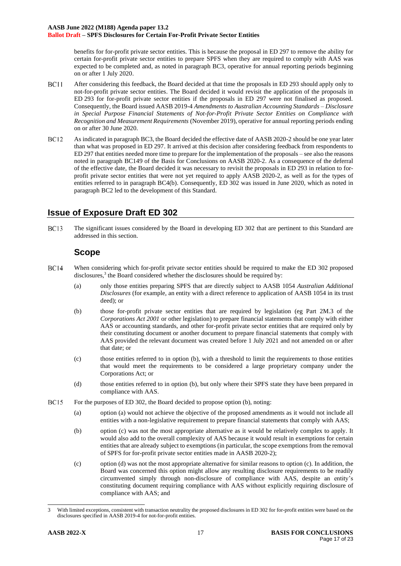benefits for for-profit private sector entities. This is because the proposal in ED 297 to remove the ability for certain for-profit private sector entities to prepare SPFS when they are required to comply with AAS was expected to be completed and, as noted in paragraph BC3, operative for annual reporting periods beginning on or after 1 July 2020.

- **BC11** After considering this feedback, the Board decided at that time the proposals in ED 293 should apply only to not-for-profit private sector entities. The Board decided it would revisit the application of the proposals in ED 293 for for-profit private sector entities if the proposals in ED 297 were not finalised as proposed. Consequently, the Board issued AASB 2019-4 *Amendments to Australian Accounting Standards – Disclosure in Special Purpose Financial Statements of Not-for-Profit Private Sector Entities on Compliance with Recognition and Measurement Requirements* (November 2019), operative for annual reporting periods ending on or after 30 June 2020.
- **BC12** As indicated in paragraph BC3, the Board decided the effective date of AASB 2020-2 should be one year later than what was proposed in ED 297. It arrived at this decision after considering feedback from respondents to ED 297 that entities needed more time to prepare for the implementation of the proposals – see also the reasons noted in paragraph BC149 of the Basis for Conclusions on AASB 2020-2. As a consequence of the deferral of the effective date, the Board decided it was necessary to revisit the proposals in ED 293 in relation to forprofit private sector entities that were not yet required to apply AASB 2020-2, as well as for the types of entities referred to in paragraph BC4(b). Consequently, ED 302 was issued in June 2020, which as noted in paragraph BC2 led to the development of this Standard.

# **Issue of Exposure Draft ED 302**

**BC13** The significant issues considered by the Board in developing ED 302 that are pertinent to this Standard are addressed in this section.

#### **Scope**

- <span id="page-16-3"></span><span id="page-16-1"></span><span id="page-16-0"></span>**BC14** When considering which for-profit private sector entities should be required to make the ED 302 proposed disclosures, $3$  the Board considered whether the disclosures should be required by:
	- (a) only those entities preparing SPFS that are directly subject to AASB 1054 *Australian Additional Disclosures* (for example, an entity with a direct reference to application of AASB 1054 in its trust deed); or
	- (b) those for-profit private sector entities that are required by legislation (eg Part 2M.3 of the *Corporations Act 2001* or other legislation) to prepare financial statements that comply with either AAS or accounting standards, and other for-profit private sector entities that are required only by their constituting document or another document to prepare financial statements that comply with AAS provided the relevant document was created before 1 July 2021 and not amended on or after that date; or
	- (c) those entities referred to in option [\(b\),](#page-16-0) with a threshold to limit the requirements to those entities that would meet the requirements to be considered a large proprietary company under the Corporations Act; or
	- (d) those entities referred to in option [\(b\),](#page-16-0) but only where their SPFS state they have been prepared in compliance with AAS.
- <span id="page-16-4"></span><span id="page-16-2"></span>**BC15** For the purposes of ED 302, the Board decided to propose optio[n \(b\),](#page-16-0) noting:
	- (a) option [\(a\)](#page-16-1) would not achieve the objective of the proposed amendments as it would not include all entities with a non-legislative requirement to prepare financial statements that comply with AAS;
	- (b) option [\(c\)](#page-16-2) was not the most appropriate alternative as it would be relatively complex to apply. It would also add to the overall complexity of AAS because it would result in exemptions for certain entities that are already subject to exemptions (in particular, the scope exemptions from the removal of SPFS for for-profit private sector entities made in AASB 2020-2);
	- (c) option (d) was not the most appropriate alternative for similar reasons to option (c). In addition, the Board was concerned this option might allow any resulting disclosure requirements to be readily circumvented simply through non-disclosure of compliance with AAS, despite an entity's constituting document requiring compliance with AAS without explicitly requiring disclosure of compliance with AAS; and

<sup>3</sup> With limited exceptions, consistent with transaction neutrality the proposed disclosures in ED 302 for for-profit entities were based on the disclosures specified in AASB 2019-4 for not-for-profit entities.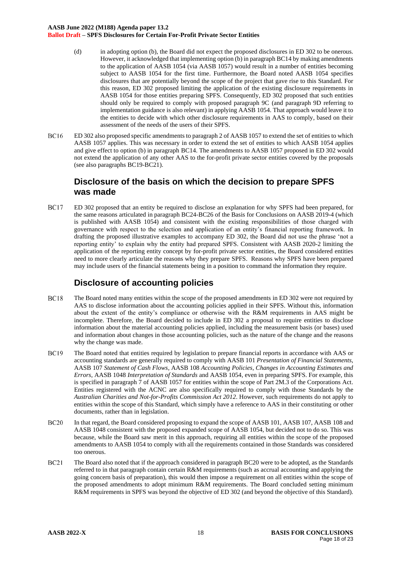- (d) in adopting option (b), the Board did not expect the proposed disclosures in ED 302 to be onerous. However, it acknowledged that implementing option (b) in paragrap[h BC14](#page-16-3) by making amendments to the application of AASB 1054 (via AASB 1057) would result in a number of entities becoming subject to AASB 1054 for the first time. Furthermore, the Board noted AASB 1054 specifies disclosures that are potentially beyond the scope of the project that gave rise to this Standard. For this reason, ED 302 proposed limiting the application of the existing disclosure requirements in AASB 1054 for those entities preparing SPFS. Consequently, ED 302 proposed that such entities should only be required to comply with proposed paragraph 9C (and paragraph 9D referring to implementation guidance is also relevant) in applying AASB 1054. That approach would leave it to the entities to decide with which other disclosure requirements in AAS to comply, based on their assessment of the needs of the users of their SPFS.
- **BC16** ED 302 also proposed specific amendments to paragraph 2 of AASB 1057 to extend the set of entities to which AASB 1057 applies. This was necessary in order to extend the set of entities to which AASB 1054 applies and give effect to option (b) in paragraph [BC14.](#page-16-3) The amendments to AASB 1057 proposed in ED 302 would not extend the application of any other AAS to the for-profit private sector entities covered by the proposals (see also paragraph[s BC19](#page-17-0)[-BC21\)](#page-17-1).

# **Disclosure of the basis on which the decision to prepare SPFS was made**

**BC17** ED 302 proposed that an entity be required to disclose an explanation for why SPFS had been prepared, for the same reasons articulated in paragraph BC24-BC26 of the Basis for Conclusions on AASB 2019-4 (which is published with AASB 1054) and consistent with the existing responsibilities of those charged with governance with respect to the selection and application of an entity's financial reporting framework. In drafting the proposed illustrative examples to accompany ED 302, the Board did not use the phrase 'not a reporting entity' to explain why the entity had prepared SPFS. Consistent with AASB 2020-2 limiting the application of the reporting entity concept by for-profit private sector entities, the Board considered entities need to more clearly articulate the reasons why they prepare SPFS. Reasons why SPFS have been prepared may include users of the financial statements being in a position to command the information they require.

# **Disclosure of accounting policies**

- **BC18** The Board noted many entities within the scope of the proposed amendments in ED 302 were not required by AAS to disclose information about the accounting policies applied in their SPFS. Without this, information about the extent of the entity's compliance or otherwise with the R&M requirements in AAS might be incomplete. Therefore, the Board decided to include in ED 302 a proposal to require entities to disclose information about the material accounting policies applied, including the measurement basis (or bases) used and information about changes in those accounting policies, such as the nature of the change and the reasons why the change was made.
- <span id="page-17-0"></span>**BC19** The Board noted that entities required by legislation to prepare financial reports in accordance with AAS or accounting standards are generally required to comply with AASB 101 *Presentation of Financial Statements*, AASB 107 *Statement of Cash Flows*, AASB 108 *Accounting Policies, Changes in Accounting Estimates and Errors*, AASB 1048 *Interpretation of Standards* and AASB 1054, even in preparing SPFS. For example, this is specified in paragraph 7 of AASB 1057 for entities within the scope of Part 2M.3 of the Corporations Act. Entities registered with the ACNC are also specifically required to comply with those Standards by the *Australian Charities and Not-for-Profits Commission Act 2012*. However, such requirements do not apply to entities within the scope of this Standard, which simply have a reference to AAS in their constituting or other documents, rather than in legislation.
- <span id="page-17-2"></span>**BC20** In that regard, the Board considered proposing to expand the scope of AASB 101, AASB 107, AASB 108 and AASB 1048 consistent with the proposed expanded scope of AASB 1054, but decided not to do so. This was because, while the Board saw merit in this approach, requiring all entities within the scope of the proposed amendments to AASB 1054 to comply with all the requirements contained in those Standards was considered too onerous.
- <span id="page-17-1"></span> $BC21$ The Board also noted that if the approach considered in paragrap[h BC20](#page-17-2) were to be adopted, as the Standards referred to in that paragraph contain certain R&M requirements (such as accrual accounting and applying the going concern basis of preparation), this would then impose a requirement on all entities within the scope of the proposed amendments to adopt minimum R&M requirements. The Board concluded setting minimum R&M requirements in SPFS was beyond the objective of ED 302 (and beyond the objective of this Standard).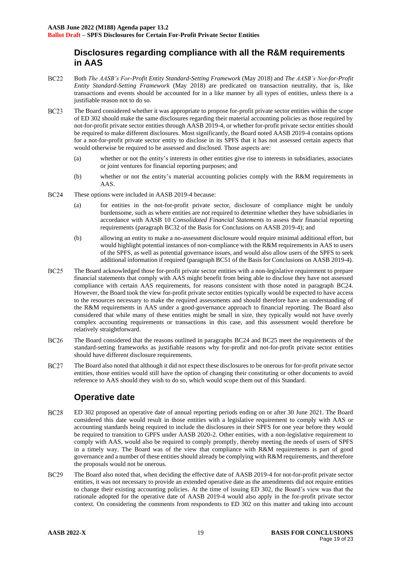# **Disclosures regarding compliance with all the R&M requirements in AAS**

- **BC22** Both *The AASB's For-Profit Entity Standard-Setting Framework* (May 2018) and *The AASB's Not-for-Profit Entity Standard-Setting Framework* (May 2018) are predicated on transaction neutrality, that is, like transactions and events should be accounted for in a like manner by all types of entities, unless there is a justifiable reason not to do so.
- **BC23** The Board considered whether it was appropriate to propose for-profit private sector entities within the scope of ED 302 should make the same disclosures regarding their material accounting policies as those required by not-for-profit private sector entities through AASB 2019-4, or whether for-profit private sector entities should be required to make different disclosures. Most significantly, the Board noted AASB 2019-4 contains options for a not-for-profit private sector entity to disclose in its SPFS that it has not assessed certain aspects that would otherwise be required to be assessed and disclosed. Those aspects are:
	- (a) whether or not the entity's interests in other entities give rise to interests in subsidiaries, associates or joint ventures for financial reporting purposes; and
	- (b) whether or not the entity's material accounting policies comply with the R&M requirements in AAS.
- <span id="page-18-0"></span>**BC24** These options were included in AASB 2019-4 because:
	- (a) for entities in the not-for-profit private sector, disclosure of compliance might be unduly burdensome, such as where entities are not required to determine whether they have subsidiaries in accordance with AASB 10 *Consolidated Financial Statements* to assess their financial reporting requirements (paragraph BC32 of the Basis for Conclusions on AASB 2019-4); and
	- (b) allowing an entity to make a no-assessment disclosure would require minimal additional effort, but would highlight potential instances of non-compliance with the R&M requirements in AAS to users of the SPFS, as well as potential governance issues, and would also allow users of the SPFS to seek additional information if required (paragraph BC51 of the Basis for Conclusions on AASB 2019-4).
- <span id="page-18-1"></span>**BC25** The Board acknowledged those for-profit private sector entities with a non-legislative requirement to prepare financial statements that comply with AAS might benefit from being able to disclose they have not assessed compliance with certain AAS requirements, for reasons consistent with those noted in paragraph [BC24.](#page-18-0) However, the Board took the view for-profit private sector entities typically would be expected to have access to the resources necessary to make the required assessments and should therefore have an understanding of the R&M requirements in AAS under a good-governance approach to financial reporting. The Board also considered that while many of these entities might be small in size, they typically would not have overly complex accounting requirements or transactions in this case, and this assessment would therefore be relatively straightforward.
- **BC26** The Board considered that the reasons outlined in paragraphs [BC24](#page-18-0) and [BC25](#page-18-1) meet the requirements of the standard-setting frameworks as justifiable reasons why for-profit and not-for-profit private sector entities should have different disclosure requirements.
- <span id="page-18-2"></span>**BC27** The Board also noted that although it did not expect these disclosures to be onerous for for-profit private sector entities, those entities would still have the option of changing their constituting or other documents to avoid reference to AAS should they wish to do so, which would scope them out of this Standard.

# **Operative date**

- **BC28** ED 302 proposed an operative date of annual reporting periods ending on or after 30 June 2021. The Board considered this date would result in those entities with a legislative requirement to comply with AAS or accounting standards being required to include the disclosures in their SPFS for one year before they would be required to transition to GPFS under AASB 2020-2. Other entities, with a non-legislative requirement to comply with AAS, would also be required to comply promptly, thereby meeting the needs of users of SPFS in a timely way. The Board was of the view that compliance with R&M requirements is part of good governance and a number of these entities should already be complying with R&M requirements, and therefore the proposals would not be onerous.
- **BC29** The Board also noted that, when deciding the effective date of AASB 2019-4 for not-for-profit private sector entities, it was not necessary to provide an extended operative date as the amendments did not require entities to change their existing accounting policies. At the time of issuing ED 302, the Board's view was that the rationale adopted for the operative date of AASB 2019-4 would also apply in the for-profit private sector context. On considering the comments from respondents to ED 302 on this matter and taking into account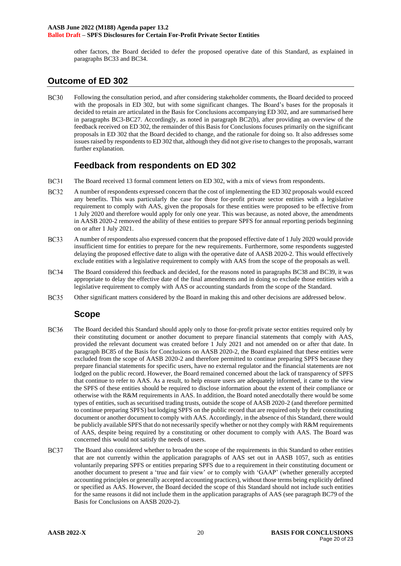other factors, the Board decided to defer the proposed operative date of this Standard, as explained in paragraphs [BC33](#page-19-0) an[d BC34.](#page-19-1)

#### **Outcome of ED 302**

**BC30** Following the consultation period, and after considering stakeholder comments, the Board decided to proceed with the proposals in ED 302, but with some significant changes. The Board's bases for the proposals it decided to retain are articulated in the Basis for Conclusions accompanying ED 302, and are summarised here in paragraphs [BC3](#page-14-0)[-BC27.](#page-18-2) Accordingly, as noted in paragraph BC2(b), after providing an overview of the feedback received on ED 302, the remainder of this Basis for Conclusions focuses primarily on the significant proposals in ED 302 that the Board decided to change, and the rationale for doing so. It also addresses some issues raised by respondents to ED 302 that, although they did not give rise to changes to the proposals, warrant further explanation.

#### **Feedback from respondents on ED 302**

- **BC31** The Board received 13 formal comment letters on ED 302, with a mix of views from respondents.
- **BC32** A number of respondents expressed concern that the cost of implementing the ED 302 proposals would exceed any benefits. This was particularly the case for those for-profit private sector entities with a legislative requirement to comply with AAS, given the proposals for these entities were proposed to be effective from 1 July 2020 and therefore would apply for only one year. This was because, as noted above, the amendments in AASB 2020-2 removed the ability of these entities to prepare SPFS for annual reporting periods beginning on or after 1 July 2021.
- <span id="page-19-0"></span>**BC33** A number of respondents also expressed concern that the proposed effective date of 1 July 2020 would provide insufficient time for entities to prepare for the new requirements. Furthermore, some respondents suggested delaying the proposed effective date to align with the operative date of AASB 2020-2. This would effectively exclude entities with a legislative requirement to comply with AAS from the scope of the proposals as well.
- <span id="page-19-1"></span>**BC34** The Board considered this feedback and decided, for the reasons noted in paragraphs [BC38](#page-20-0) and [BC39,](#page-20-1) it was appropriate to delay the effective date of the final amendments and in doing so exclude those entities with a legislative requirement to comply with AAS or accounting standards from the scope of the Standard.
- **BC35** Other significant matters considered by the Board in making this and other decisions are addressed below.

# **Scope**

- **BC36** The Board decided this Standard should apply only to those for-profit private sector entities required only by their constituting document or another document to prepare financial statements that comply with AAS, provided the relevant document was created before 1 July 2021 and not amended on or after that date. In paragraph BC85 of the Basis for Conclusions on AASB 2020-2, the Board explained that these entities were excluded from the scope of AASB 2020-2 and therefore permitted to continue preparing SPFS because they prepare financial statements for specific users, have no external regulator and the financial statements are not lodged on the public record. However, the Board remained concerned about the lack of transparency of SPFS that continue to refer to AAS. As a result, to help ensure users are adequately informed, it came to the view the SPFS of these entities should be required to disclose information about the extent of their compliance or otherwise with the R&M requirements in AAS. In addition, the Board noted anecdotally there would be some types of entities, such as securitised trading trusts, outside the scope of AASB 2020-2 (and therefore permitted to continue preparing SPFS) but lodging SPFS on the public record that are required only by their constituting document or another document to comply with AAS. Accordingly, in the absence of this Standard, there would be publicly available SPFS that do not necessarily specify whether or not they comply with R&M requirements of AAS, despite being required by a constituting or other document to comply with AAS. The Board was concerned this would not satisfy the needs of users.
- **BC37** The Board also considered whether to broaden the scope of the requirements in this Standard to other entities that are not currently within the application paragraphs of AAS set out in AASB 1057, such as entities voluntarily preparing SPFS or entities preparing SPFS due to a requirement in their constituting document or another document to present a 'true and fair view' or to comply with 'GAAP' (whether generally accepted accounting principles or generally accepted accounting practices), without those terms being explicitly defined or specified as AAS. However, the Board decided the scope of this Standard should not include such entities for the same reasons it did not include them in the application paragraphs of AAS (see paragraph BC79 of the Basis for Conclusions on AASB 2020-2).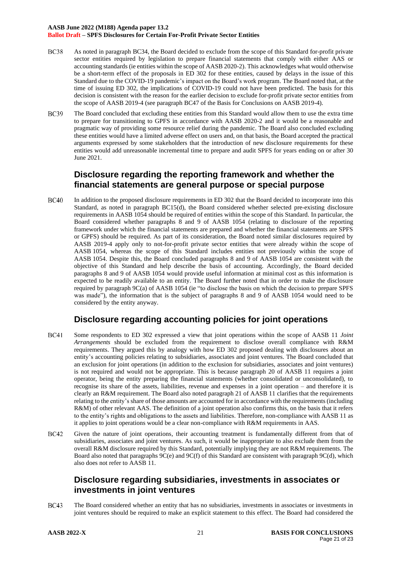#### **AASB June 2022 (M188) Agenda paper 13.2 Ballot Draft – SPFS Disclosures for Certain For-Profit Private Sector Entities**

- <span id="page-20-0"></span>**BC38** As noted in paragraph [BC34,](#page-19-1) the Board decided to exclude from the scope of this Standard for-profit private sector entities required by legislation to prepare financial statements that comply with either AAS or accounting standards (ie entities within the scope of AASB 2020-2). This acknowledges what would otherwise be a short-term effect of the proposals in ED 302 for these entities, caused by delays in the issue of this Standard due to the COVID-19 pandemic's impact on the Board's work program. The Board noted that, at the time of issuing ED 302, the implications of COVID-19 could not have been predicted. The basis for this decision is consistent with the reason for the earlier decision to exclude for-profit private sector entities from the scope of AASB 2019-4 (see paragraph BC47 of the Basis for Conclusions on AASB 2019-4).
- **BC39** The Board concluded that excluding these entities from this Standard would allow them to use the extra time to prepare for transitioning to GPFS in accordance with AASB 2020-2 and it would be a reasonable and pragmatic way of providing some resource relief during the pandemic. The Board also concluded excluding these entities would have a limited adverse effect on users and, on that basis, the Board accepted the practical arguments expressed by some stakeholders that the introduction of new disclosure requirements for these entities would add unreasonable incremental time to prepare and audit SPFS for years ending on or after 30 June 2021.

#### <span id="page-20-1"></span>**Disclosure regarding the reporting framework and whether the financial statements are general purpose or special purpose**

**BC40** In addition to the proposed disclosure requirements in ED 302 that the Board decided to incorporate into this Standard, as noted in paragraph [BC15\(](#page-16-4)d), the Board considered whether selected pre-existing disclosure requirements in AASB 1054 should be required of entities within the scope of this Standard. In particular, the Board considered whether paragraphs 8 and 9 of AASB 1054 (relating to disclosure of the reporting framework under which the financial statements are prepared and whether the financial statements are SPFS or GPFS) should be required. As part of its consideration, the Board noted similar disclosures required by AASB 2019-4 apply only to not-for-profit private sector entities that were already within the scope of AASB 1054, whereas the scope of this Standard includes entities not previously within the scope of AASB 1054. Despite this, the Board concluded paragraphs 8 and 9 of AASB 1054 are consistent with the objective of this Standard and help describe the basis of accounting. Accordingly, the Board decided paragraphs 8 and 9 of AASB 1054 would provide useful information at minimal cost as this information is expected to be readily available to an entity. The Board further noted that in order to make the disclosure required by paragraph 9C(a) of AASB 1054 (ie "to disclose the basis on which the decision to prepare SPFS was made"), the information that is the subject of paragraphs 8 and 9 of AASB 1054 would need to be considered by the entity anyway.

# **Disclosure regarding accounting policies for joint operations**

- **BC41** Some respondents to ED 302 expressed a view that joint operations within the scope of AASB 11 *Joint Arrangements* should be excluded from the requirement to disclose overall compliance with R&M requirements. They argued this by analogy with how ED 302 proposed dealing with disclosures about an entity's accounting policies relating to subsidiaries, associates and joint ventures. The Board concluded that an exclusion for joint operations (in addition to the exclusion for subsidiaries, associates and joint ventures) is not required and would not be appropriate. This is because paragraph 20 of AASB 11 requires a joint operator, being the entity preparing the financial statements (whether consolidated or unconsolidated), to recognise its share of the assets, liabilities, revenue and expenses in a joint operation – and therefore it is clearly an R&M requirement. The Board also noted paragraph 21 of AASB 11 clarifies that the requirements relating to the entity's share of those amounts are accounted for in accordance with the requirements (including R&M) of other relevant AAS. The definition of a joint operation also confirms this, on the basis that it refers to the entity's rights and obligations to the assets and liabilities. Therefore, non-compliance with AASB 11 as it applies to joint operations would be a clear non-compliance with R&M requirements in AAS.
- **BC42** Given the nature of joint operations, their accounting treatment is fundamentally different from that of subsidiaries, associates and joint ventures. As such, it would be inappropriate to also exclude them from the overall R&M disclosure required by this Standard, potentially implying they are not R&M requirements. The Board also noted that paragraphs 9C(e) and 9C(f) of this Standard are consistent with paragraph 9C(d), which also does not refer to AASB 11.

# **Disclosure regarding subsidiaries, investments in associates or investments in joint ventures**

**BC43** The Board considered whether an entity that has no subsidiaries, investments in associates or investments in joint ventures should be required to make an explicit statement to this effect. The Board had considered the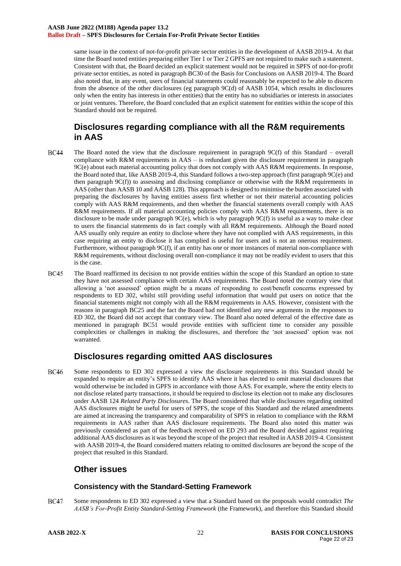same issue in the context of not-for-profit private sector entities in the development of AASB 2019-4. At that time the Board noted entities preparing either Tier 1 or Tier 2 GPFS are not required to make such a statement. Consistent with that, the Board decided an explicit statement would not be required in SPFS of not-for-profit private sector entities, as noted in paragraph BC30 of the Basis for Conclusions on AASB 2019-4. The Board also noted that, in any event, users of financial statements could reasonably be expected to be able to discern from the absence of the other disclosures (eg paragraph 9C(d) of AASB 1054, which results in disclosures only when the entity has interests in other entities) that the entity has no subsidiaries or interests in associates or joint ventures. Therefore, the Board concluded that an explicit statement for entities within the scope of this Standard should not be required.

# **Disclosures regarding compliance with all the R&M requirements in AAS**

- **BC44** The Board noted the view that the disclosure requirement in paragraph 9C(f) of this Standard – overall compliance with R&M requirements in AAS – is redundant given the disclosure requirement in paragraph 9C(e) about each material accounting policy that does not comply with AAS R&M requirements. In response, the Board noted that, like AASB 2019-4, this Standard follows a two-step approach (first paragraph 9C(e) and then paragraph 9C(f)) to assessing and disclosing compliance or otherwise with the R&M requirements in AAS (other than AASB 10 and AASB 128). This approach is designed to minimise the burden associated with preparing the disclosures by having entities assess first whether or not their material accounting policies comply with AAS R&M requirements, and then whether the financial statements overall comply with AAS R&M requirements. If all material accounting policies comply with AAS R&M requirements, there is no disclosure to be made under paragraph 9C(e), which is why paragraph 9C(f) is useful as a way to make clear to users the financial statements do in fact comply with all R&M requirements. Although the Board noted AAS usually only require an entity to disclose where they have not complied with AAS requirements, in this case requiring an entity to disclose it has complied is useful for users and is not an onerous requirement. Furthermore, without paragraph 9C(f), if an entity has one or more instances of material non-compliance with R&M requirements, without disclosing overall non-compliance it may not be readily evident to users that this is the case.
- **BC45** The Board reaffirmed its decision to not provide entities within the scope of this Standard an option to state they have not assessed compliance with certain AAS requirements. The Board noted the contrary view that allowing a 'not assessed' option might be a means of responding to cost/benefit concerns expressed by respondents to ED 302, whilst still providing useful information that would put users on notice that the financial statements might not comply with all the R&M requirements in AAS. However, consistent with the reasons in paragraph [BC25](#page-18-1) and the fact the Board had not identified any new arguments in the responses to ED 302, the Board did not accept that contrary view. The Board also noted deferral of the effective date as mentioned in paragraph [BC51](#page-22-0) would provide entities with sufficient time to consider any possible complexities or challenges in making the disclosures, and therefore the 'not assessed' option was not warranted.

# **Disclosures regarding omitted AAS disclosures**

**BC46** Some respondents to ED 302 expressed a view the disclosure requirements in this Standard should be expanded to require an entity's SPFS to identify AAS where it has elected to omit material disclosures that would otherwise be included in GPFS in accordance with those AAS. For example, where the entity elects to not disclose related party transactions, it should be required to disclose its election not to make any disclosures under AASB 124 *Related Party Disclosures*. The Board considered that while disclosures regarding omitted AAS disclosures might be useful for users of SPFS, the scope of this Standard and the related amendments are aimed at increasing the transparency and comparability of SPFS in relation to compliance with the R&M requirements in AAS rather than AAS disclosure requirements. The Board also noted this matter was previously considered as part of the feedback received on ED 293 and the Board decided against requiring additional AAS disclosures as it was beyond the scope of the project that resulted in AASB 2019-4. Consistent with AASB 2019-4, the Board considered matters relating to omitted disclosures are beyond the scope of the project that resulted in this Standard.

# **Other issues**

#### **Consistency with the Standard-Setting Framework**

**BC47** Some respondents to ED 302 expressed a view that a Standard based on the proposals would contradict *The AASB's For-Profit Entity Standard-Setting Framework* (the Framework), and therefore this Standard should